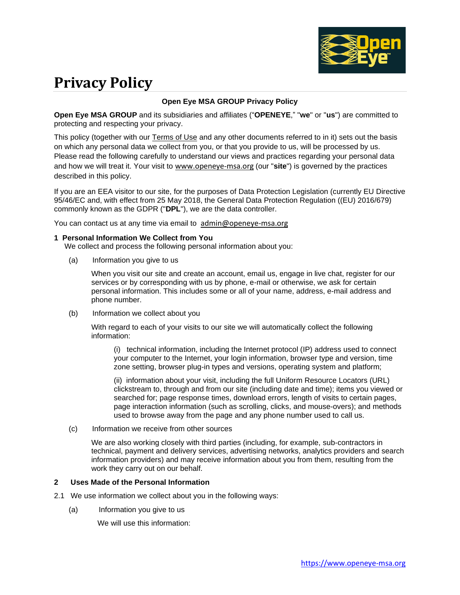

# **Privacy Policy**

## **Open Eye MSA GROUP Privacy Policy**

**Open Eye MSA GROUP** and its subsidiaries and affiliates ("**OPENEYE**," "**we**" or "**us**") are committed to protecting and respecting your privacy.

This policy (together with our [Terms of Use](http://www.macom.com/terms-of-use) and any other documents referred to in it) sets out the basis on which any personal data we collect from you, or that you provide to us, will be processed by us. Please read the following carefully to understand our views and practices regarding your personal data and how we will treat it. Your visit to [www.openeye-msa.org](http://www.openeye-msa.org/) (our "**site**") is governed by the practices described in this policy.

If you are an EEA visitor to our site, for the purposes of Data Protection Legislation (currently EU Directive 95/46/EC and, with effect from 25 May 2018, the General Data Protection Regulation ((EU) 2016/679) commonly known as the GDPR ("**DPL**"), we are the data controller.

You can contact us at any time via email to [admin@openeye-msa.org](mailto:admin@openeye-msa.org)

#### **1 Personal Information We Collect from You**

We collect and process the following personal information about you:

(a) Information you give to us

When you visit our site and create an account, email us, engage in live chat, register for our services or by corresponding with us by phone, e-mail or otherwise, we ask for certain personal information. This includes some or all of your name, address, e-mail address and phone number.

(b) Information we collect about you

With regard to each of your visits to our site we will automatically collect the following information:

(i) technical information, including the Internet protocol (IP) address used to connect your computer to the Internet, your login information, browser type and version, time zone setting, browser plug-in types and versions, operating system and platform;

(ii) information about your visit, including the full Uniform Resource Locators (URL) clickstream to, through and from our site (including date and time); items you viewed or searched for; page response times, download errors, length of visits to certain pages, page interaction information (such as scrolling, clicks, and mouse-overs); and methods used to browse away from the page and any phone number used to call us.

(c) Information we receive from other sources

We are also working closely with third parties (including, for example, sub-contractors in technical, payment and delivery services, advertising networks, analytics providers and search information providers) and may receive information about you from them, resulting from the work they carry out on our behalf.

#### **2 Uses Made of the Personal Information**

- 2.1 We use information we collect about you in the following ways:
	- (a) Information you give to us

We will use this information: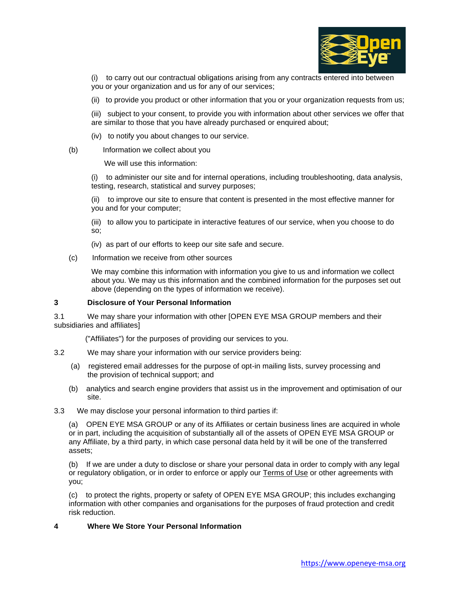

(i) to carry out our contractual obligations arising from any contracts entered into between you or your organization and us for any of our services;

- (ii) to provide you product or other information that you or your organization requests from us;
- (iii) subject to your consent, to provide you with information about other services we offer that are similar to those that you have already purchased or enquired about;
- (iv) to notify you about changes to our service.
- (b) Information we collect about you

We will use this information:

(i) to administer our site and for internal operations, including troubleshooting, data analysis, testing, research, statistical and survey purposes;

(ii) to improve our site to ensure that content is presented in the most effective manner for you and for your computer;

(iii) to allow you to participate in interactive features of our service, when you choose to do so;

- (iv) as part of our efforts to keep our site safe and secure.
- (c) Information we receive from other sources

We may combine this information with information you give to us and information we collect about you. We may us this information and the combined information for the purposes set out above (depending on the types of information we receive).

## **3 Disclosure of Your Personal Information**

3.1 We may share your information with other [OPEN EYE MSA GROUP members and their subsidiaries and affiliates]

("Affiliates") for the purposes of providing our services to you.

- 3.2 We may share your information with our service providers being:
	- (a) registered email addresses for the purpose of opt-in mailing lists, survey processing and the provision of technical support; and
	- (b) analytics and search engine providers that assist us in the improvement and optimisation of our site.
- 3.3 We may disclose your personal information to third parties if:

(a) OPEN EYE MSA GROUP or any of its Affiliates or certain business lines are acquired in whole or in part, including the acquisition of substantially all of the assets of OPEN EYE MSA GROUP or any Affiliate, by a third party, in which case personal data held by it will be one of the transferred assets;

(b) If we are under a duty to disclose or share your personal data in order to comply with any legal or regulatory obligation, or in order to enforce or apply our [Terms of Use](http://www.macom.com/terms-of-use) or other agreements with you;

(c) to protect the rights, property or safety of OPEN EYE MSA GROUP; this includes exchanging information with other companies and organisations for the purposes of fraud protection and credit risk reduction.

## **4 Where We Store Your Personal Information**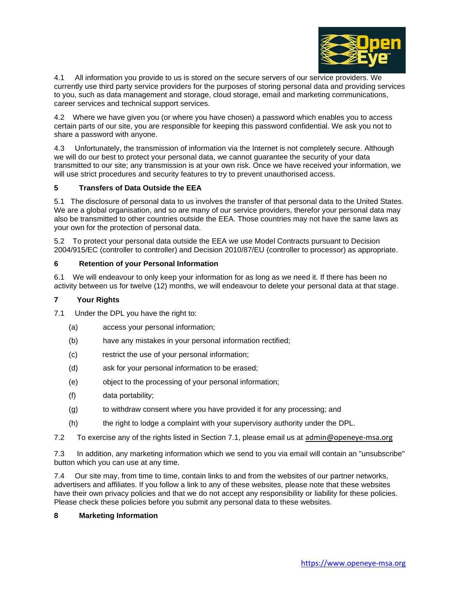

4.1 All information you provide to us is stored on the secure servers of our service providers. We currently use third party service providers for the purposes of storing personal data and providing services to you, such as data management and storage, cloud storage, email and marketing communications, career services and technical support services.

4.2 Where we have given you (or where you have chosen) a password which enables you to access certain parts of our site, you are responsible for keeping this password confidential. We ask you not to share a password with anyone.

4.3 Unfortunately, the transmission of information via the Internet is not completely secure. Although we will do our best to protect your personal data, we cannot guarantee the security of your data transmitted to our site; any transmission is at your own risk. Once we have received your information, we will use strict procedures and security features to try to prevent unauthorised access.

## **5 Transfers of Data Outside the EEA**

5.1 The disclosure of personal data to us involves the transfer of that personal data to the United States. We are a global organisation, and so are many of our service providers, therefor your personal data may also be transmitted to other countries outside the EEA. Those countries may not have the same laws as your own for the protection of personal data.

5.2 To protect your personal data outside the EEA we use Model Contracts pursuant to Decision 2004/915/EC (controller to controller) and Decision 2010/87/EU (controller to processor) as appropriate.

## **6 Retention of your Personal Information**

6.1 We will endeavour to only keep your information for as long as we need it. If there has been no activity between us for twelve (12) months, we will endeavour to delete your personal data at that stage.

## **7 Your Rights**

- 7.1 Under the DPL you have the right to:
	- (a) access your personal information;
	- (b) have any mistakes in your personal information rectified;
	- (c) restrict the use of your personal information;
	- (d) ask for your personal information to be erased;
	- (e) object to the processing of your personal information;
	- (f) data portability;
	- (g) to withdraw consent where you have provided it for any processing; and
	- (h) the right to lodge a complaint with your supervisory authority under the DPL.
- 7.2 To exercise any of the rights listed in Section 7.1, please email us at [admin@openeye-msa.org](mailto:admin@openeye-msa.org)

7.3 In addition, any marketing information which we send to you via email will contain an "unsubscribe" button which you can use at any time.

7.4 Our site may, from time to time, contain links to and from the websites of our partner networks, advertisers and affiliates. If you follow a link to any of these websites, please note that these websites have their own privacy policies and that we do not accept any responsibility or liability for these policies. Please check these policies before you submit any personal data to these websites.

#### **8 Marketing Information**